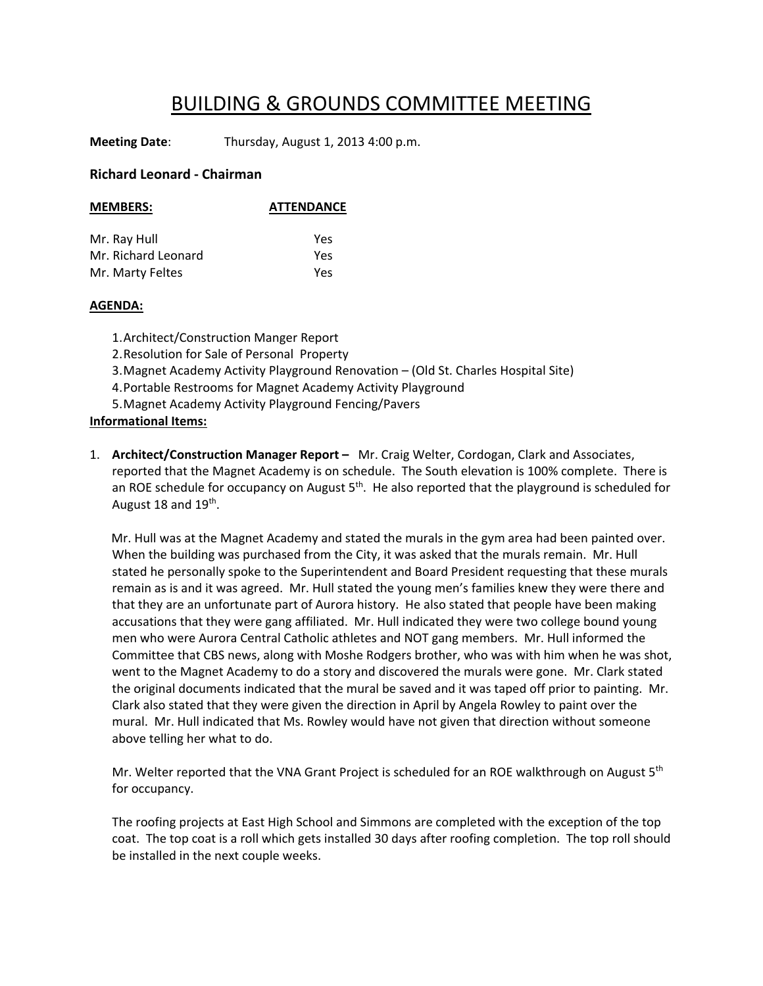## BUILDING & GROUNDS COMMITTEE MEETING

**Meeting Date**: Thursday, August 1, 2013 4:00 p.m.

## **Richard Leonard ‐ Chairman**

| <b>MEMBERS:</b>     | <b>ATTENDANCE</b> |
|---------------------|-------------------|
|                     |                   |
| Mr. Ray Hull        | Yes               |
| Mr. Richard Leonard | Yes               |
| Mr. Marty Feltes    | Yes               |

## **AGENDA:**

1.Architect/Construction Manger Report 2.Resolution for Sale of Personal Property 3.Magnet Academy Activity Playground Renovation – (Old St. Charles Hospital Site) 4.Portable Restrooms for Magnet Academy Activity Playground 5.Magnet Academy Activity Playground Fencing/Pavers **Informational Items:**

1. **Architect/Construction Manager Report –** Mr. Craig Welter, Cordogan, Clark and Associates, reported that the Magnet Academy is on schedule. The South elevation is 100% complete. There is an ROE schedule for occupancy on August  $5<sup>th</sup>$ . He also reported that the playground is scheduled for August 18 and  $19<sup>th</sup>$ .

 Mr. Hull was at the Magnet Academy and stated the murals in the gym area had been painted over. When the building was purchased from the City, it was asked that the murals remain. Mr. Hull stated he personally spoke to the Superintendent and Board President requesting that these murals remain as is and it was agreed. Mr. Hull stated the young men's families knew they were there and that they are an unfortunate part of Aurora history. He also stated that people have been making accusations that they were gang affiliated. Mr. Hull indicated they were two college bound young men who were Aurora Central Catholic athletes and NOT gang members. Mr. Hull informed the Committee that CBS news, along with Moshe Rodgers brother, who was with him when he was shot, went to the Magnet Academy to do a story and discovered the murals were gone. Mr. Clark stated the original documents indicated that the mural be saved and it was taped off prior to painting. Mr. Clark also stated that they were given the direction in April by Angela Rowley to paint over the mural. Mr. Hull indicated that Ms. Rowley would have not given that direction without someone above telling her what to do.

Mr. Welter reported that the VNA Grant Project is scheduled for an ROE walkthrough on August 5<sup>th</sup> for occupancy.

The roofing projects at East High School and Simmons are completed with the exception of the top coat. The top coat is a roll which gets installed 30 days after roofing completion. The top roll should be installed in the next couple weeks.